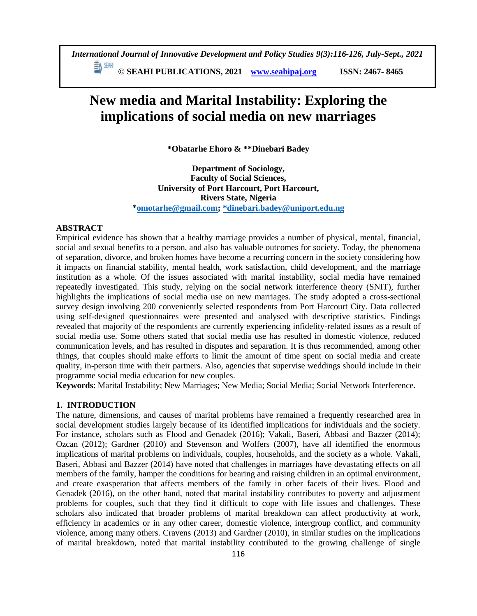**© SEAHI PUBLICATIONS, 2021 [www.seahipaj.org](http://www.seahipaj.org/) ISSN: 2467- 8465**

# **New media and Marital Instability: Exploring the implications of social media on new marriages**

**\*Obatarhe Ehoro & \*\*Dinebari Badey**

**Department of Sociology, Faculty of Social Sciences, University of Port Harcourt, Port Harcourt, Rivers State, Nigeria** \***[omotarhe@gmail.com;](mailto:omotarhe@gmail.com) [\\*dinebari.badey@uniport.edu.ng](mailto:*dinebari.badey@uniport.edu.ng)**

# **ABSTRACT**

Empirical evidence has shown that a healthy marriage provides a number of physical, mental, financial, social and sexual benefits to a person, and also has valuable outcomes for society. Today, the phenomena of separation, divorce, and broken homes have become a recurring concern in the society considering how it impacts on financial stability, mental health, work satisfaction, child development, and the marriage institution as a whole. Of the issues associated with marital instability, social media have remained repeatedly investigated. This study, relying on the social network interference theory (SNIT), further highlights the implications of social media use on new marriages. The study adopted a cross-sectional survey design involving 200 conveniently selected respondents from Port Harcourt City. Data collected using self-designed questionnaires were presented and analysed with descriptive statistics. Findings revealed that majority of the respondents are currently experiencing infidelity-related issues as a result of social media use. Some others stated that social media use has resulted in domestic violence, reduced communication levels, and has resulted in disputes and separation. It is thus recommended, among other things, that couples should make efforts to limit the amount of time spent on social media and create quality, in-person time with their partners. Also, agencies that supervise weddings should include in their programme social media education for new couples.

**Keywords**: Marital Instability; New Marriages; New Media; Social Media; Social Network Interference.

# **1. INTRODUCTION**

The nature, dimensions, and causes of marital problems have remained a frequently researched area in social development studies largely because of its identified implications for individuals and the society. For instance, scholars such as Flood and Genadek (2016); Vakali, Baseri, Abbasi and Bazzer (2014); Ozcan (2012); Gardner (2010) and Stevenson and Wolfers (2007), have all identified the enormous implications of marital problems on individuals, couples, households, and the society as a whole. Vakali, Baseri, Abbasi and Bazzer (2014) have noted that challenges in marriages have devastating effects on all members of the family, hamper the conditions for bearing and raising children in an optimal environment, and create exasperation that affects members of the family in other facets of their lives. Flood and Genadek (2016), on the other hand, noted that marital instability contributes to poverty and adjustment problems for couples, such that they find it difficult to cope with life issues and challenges. These scholars also indicated that broader problems of marital breakdown can affect productivity at work, efficiency in academics or in any other career, domestic violence, intergroup conflict, and community violence, among many others. Cravens (2013) and Gardner (2010), in similar studies on the implications of marital breakdown, noted that marital instability contributed to the growing challenge of single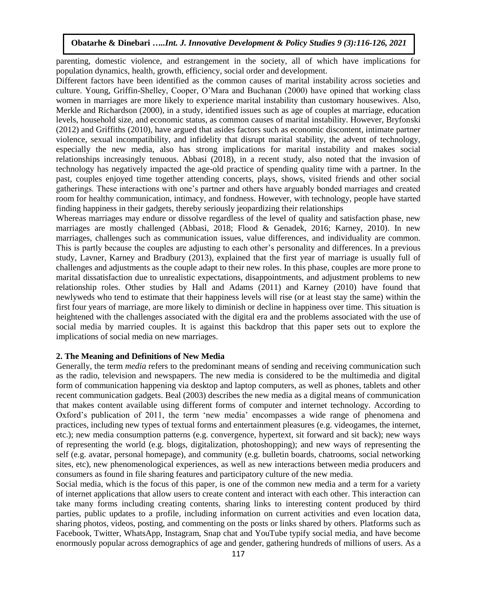parenting, domestic violence, and estrangement in the society, all of which have implications for population dynamics, health, growth, efficiency, social order and development.

Different factors have been identified as the common causes of marital instability across societies and culture. Young, Griffin-Shelley, Cooper, O'Mara and Buchanan (2000) have opined that working class women in marriages are more likely to experience marital instability than customary housewives. Also, Merkle and Richardson (2000), in a study, identified issues such as age of couples at marriage, education levels, household size, and economic status, as common causes of marital instability. However, Bryfonski (2012) and Griffiths (2010), have argued that asides factors such as economic discontent, intimate partner violence, sexual incompatibility, and infidelity that disrupt marital stability, the advent of technology, especially the new media, also has strong implications for marital instability and makes social relationships increasingly tenuous. Abbasi (2018), in a recent study, also noted that the invasion of technology has negatively impacted the age-old practice of spending quality time with a partner. In the past, couples enjoyed time together attending concerts, plays, shows, visited friends and other social gatherings. These interactions with one's partner and others have arguably bonded marriages and created room for healthy communication, intimacy, and fondness. However, with technology, people have started finding happiness in their gadgets, thereby seriously jeopardizing their relationships

Whereas marriages may endure or dissolve regardless of the level of quality and satisfaction phase, new marriages are mostly challenged (Abbasi, 2018; Flood & Genadek, 2016; Karney, 2010). In new marriages, challenges such as communication issues, value differences, and individuality are common. This is partly because the couples are adjusting to each other's personality and differences. In a previous study, Lavner, Karney and Bradbury (2013), explained that the first year of marriage is usually full of challenges and adjustments as the couple adapt to their new roles. In this phase, couples are more prone to marital dissatisfaction due to unrealistic expectations, disappointments, and adjustment problems to new relationship roles. Other studies by Hall and Adams (2011) and Karney (2010) have found that newlyweds who tend to estimate that their happiness levels will rise (or at least stay the same) within the first four years of marriage, are more likely to diminish or decline in happiness over time. This situation is heightened with the challenges associated with the digital era and the problems associated with the use of social media by married couples. It is against this backdrop that this paper sets out to explore the implications of social media on new marriages.

# **2. The Meaning and Definitions of New Media**

Generally, the term *media* refers to the predominant means of sending and receiving communication such as the radio, television and newspapers. The new media is considered to be the multimedia and digital form of communication happening via desktop and laptop computers, as well as phones, tablets and other recent communication gadgets. Beal (2003) describes the new media as a digital means of communication that makes content available using different forms of computer and internet technology. According to Oxford's publication of 2011, the term 'new media' encompasses a wide range of phenomena and practices, including new types of textual forms and entertainment pleasures (e.g. videogames, the internet, etc.); new media consumption patterns (e.g. convergence, hypertext, sit forward and sit back); new ways of representing the world (e.g. blogs, digitalization, photoshopping); and new ways of representing the self (e.g. avatar, personal homepage), and community (e.g. bulletin boards, chatrooms, social networking sites, etc), new phenomenological experiences, as well as new interactions between media producers and consumers as found in file sharing features and participatory culture of the new media.

Social media, which is the focus of this paper, is one of the common new media and a term for a variety of internet applications that allow users to create content and interact with each other. This interaction can take many forms including creating contents, sharing links to interesting content produced by third parties, public updates to a profile, including information on current activities and even location data, sharing photos, videos, posting, and commenting on the posts or links shared by others. Platforms such as Facebook, Twitter, WhatsApp, Instagram, Snap chat and YouTube typify social media, and have become enormously popular across demographics of age and gender, gathering hundreds of millions of users. As a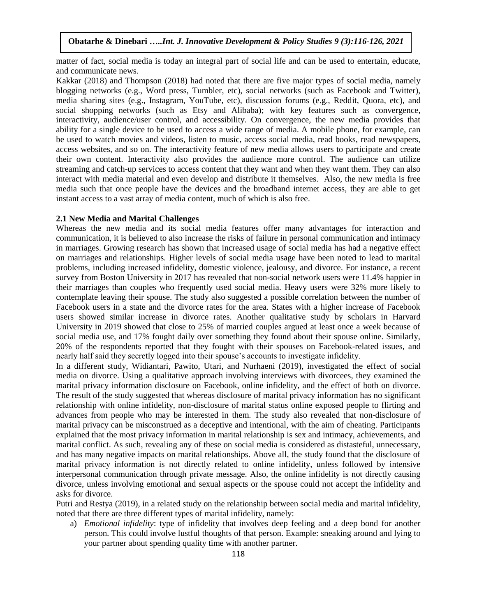matter of fact, social media is today an integral part of social life and can be used to entertain, educate, and communicate news.

Kakkar (2018) and Thompson (2018) had noted that there are five major types of social media, namely blogging networks (e.g., Word press, Tumbler, etc), social networks (such as Facebook and Twitter), media sharing sites (e.g., Instagram, YouTube, etc), discussion forums (e.g., Reddit, Quora, etc), and social shopping networks (such as Etsy and Alibaba); with key features such as convergence, interactivity, audience/user control, and accessibility. On convergence, the new media provides that ability for a single device to be used to access a wide range of media. A mobile phone, for example, can be used to watch movies and videos, listen to music, access social media, read books, read newspapers, access websites, and so on. The interactivity feature of new media allows users to participate and create their own content. Interactivity also provides the audience more control. The audience can utilize streaming and catch-up services to access content that they want and when they want them. They can also interact with media material and even develop and distribute it themselves. Also, the new media is free media such that once people have the devices and the broadband internet access, they are able to get instant access to a vast array of media content, much of which is also free.

#### **2.1 New Media and Marital Challenges**

Whereas the new media and its social media features offer many advantages for interaction and communication, it is believed to also increase the risks of failure in personal communication and intimacy in marriages. Growing research has shown that increased usage of social media has had a negative effect on marriages and relationships. Higher levels of social media usage have been noted to lead to marital problems, including increased infidelity, domestic violence, jealousy, and divorce. For instance, a recent survey from Boston University in 2017 has revealed that non-social network users were 11.4% happier in their marriages than couples who frequently used social media. Heavy users were 32% more likely to contemplate leaving their spouse. The study also suggested a possible correlation between the number of Facebook users in a state and the divorce rates for the area. States with a higher increase of Facebook users showed similar increase in divorce rates. Another qualitative study by scholars in Harvard University in 2019 showed that close to 25% of married couples argued at least once a week because of social media use, and 17% fought daily over something they found about their spouse online. Similarly, 20% of the respondents reported that they fought with their spouses on Facebook-related issues, and nearly half said they secretly logged into their spouse's accounts to investigate infidelity.

In a different study, Widiantari, Pawito, Utari, and Nurhaeni (2019), investigated the effect of social media on divorce. Using a qualitative approach involving interviews with divorcees, they examined the marital privacy information disclosure on Facebook, online infidelity, and the effect of both on divorce. The result of the study suggested that whereas disclosure of marital privacy information has no significant relationship with online infidelity, non-disclosure of marital status online exposed people to flirting and advances from people who may be interested in them. The study also revealed that non-disclosure of marital privacy can be misconstrued as a deceptive and intentional, with the aim of cheating. Participants explained that the most privacy information in marital relationship is sex and intimacy, achievements, and marital conflict. As such, revealing any of these on social media is considered as distasteful, unnecessary, and has many negative impacts on marital relationships. Above all, the study found that the disclosure of marital privacy information is not directly related to online infidelity, unless followed by intensive interpersonal communication through private message. Also, the online infidelity is not directly causing divorce, unless involving emotional and sexual aspects or the spouse could not accept the infidelity and asks for divorce.

Putri and Restya (2019), in a related study on the relationship between social media and marital infidelity, noted that there are three different types of marital infidelity, namely:

a) *Emotional infidelity*: type of infidelity that involves deep feeling and a deep bond for another person. This could involve lustful thoughts of that person. Example: sneaking around and lying to your partner about spending quality time with another partner.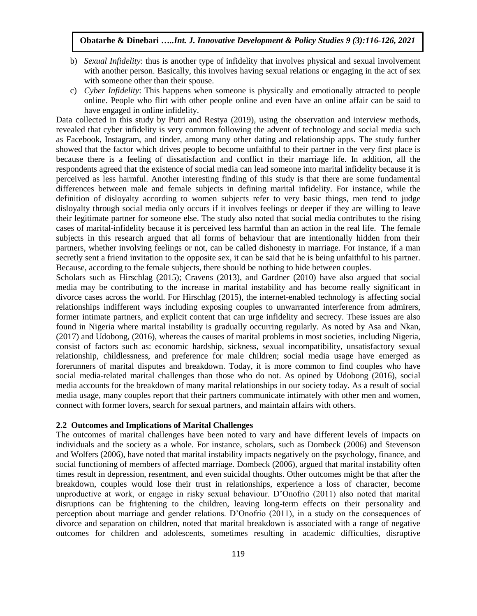- b) *Sexual Infidelity*: thus is another type of infidelity that involves physical and sexual involvement with another person. Basically, this involves having sexual relations or engaging in the act of sex with someone other than their spouse.
- c) *Cyber Infidelity*: This happens when someone is physically and emotionally attracted to people online. People who flirt with other people online and even have an online affair can be said to have engaged in online infidelity.

Data collected in this study by Putri and Restya (2019), using the observation and interview methods, revealed that cyber infidelity is very common following the advent of technology and social media such as Facebook, Instagram, and tinder, among many other dating and relationship apps. The study further showed that the factor which drives people to become unfaithful to their partner in the very first place is because there is a feeling of dissatisfaction and conflict in their marriage life. In addition, all the respondents agreed that the existence of social media can lead someone into marital infidelity because it is perceived as less harmful. Another interesting finding of this study is that there are some fundamental differences between male and female subjects in defining marital infidelity. For instance, while the definition of disloyalty according to women subjects refer to very basic things, men tend to judge disloyalty through social media only occurs if it involves feelings or deeper if they are willing to leave their legitimate partner for someone else. The study also noted that social media contributes to the rising cases of marital-infidelity because it is perceived less harmful than an action in the real life. The female subjects in this research argued that all forms of behaviour that are intentionally hidden from their partners, whether involving feelings or not, can be called dishonesty in marriage. For instance, if a man secretly sent a friend invitation to the opposite sex, it can be said that he is being unfaithful to his partner. Because, according to the female subjects, there should be nothing to hide between couples.

Scholars such as Hirschlag (2015); Cravens (2013), and Gardner (2010) have also argued that social media may be contributing to the increase in marital instability and has become really significant in divorce cases across the world. For Hirschlag (2015), the internet-enabled technology is affecting social relationships indifferent ways including exposing couples to unwarranted interference from admirers, former intimate partners, and explicit content that can urge infidelity and secrecy. These issues are also found in Nigeria where marital instability is gradually occurring regularly. As noted by Asa and Nkan, (2017) and Udobong, (2016), whereas the causes of marital problems in most societies, including Nigeria, consist of factors such as: economic hardship, sickness, sexual incompatibility, unsatisfactory sexual relationship, childlessness, and preference for male children; social media usage have emerged as forerunners of marital disputes and breakdown. Today, it is more common to find couples who have social media-related marital challenges than those who do not. As opined by Udobong (2016), social media accounts for the breakdown of many marital relationships in our society today. As a result of social media usage, many couples report that their partners communicate intimately with other men and women, connect with former lovers, search for sexual partners, and maintain affairs with others.

## **2.2 Outcomes and Implications of Marital Challenges**

The outcomes of marital challenges have been noted to vary and have different levels of impacts on individuals and the society as a whole. For instance, scholars, such as Dombeck (2006) and Stevenson and Wolfers (2006), have noted that marital instability impacts negatively on the psychology, finance, and social functioning of members of affected marriage. Dombeck (2006), argued that marital instability often times result in depression, resentment, and even suicidal thoughts. Other outcomes might be that after the breakdown, couples would lose their trust in relationships, experience a loss of character, become unproductive at work, or engage in risky sexual behaviour. D'Onofrio (2011) also noted that marital disruptions can be frightening to the children, leaving long-term effects on their personality and perception about marriage and gender relations. D'Onofrio (2011), in a study on the consequences of divorce and separation on children, noted that marital breakdown is associated with a range of negative outcomes for children and adolescents, sometimes resulting in academic difficulties, disruptive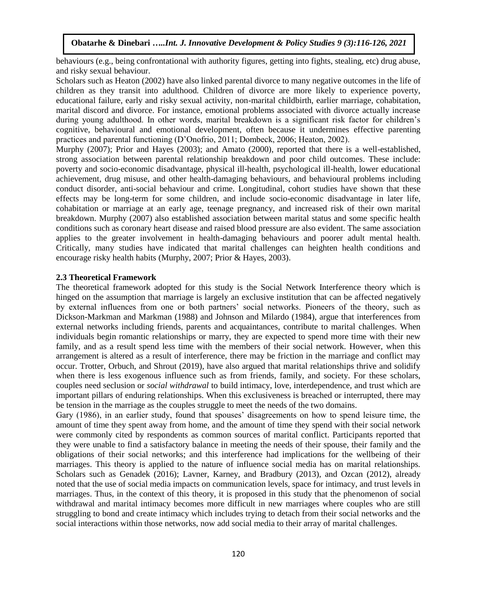behaviours (e.g., being confrontational with authority figures, getting into fights, stealing, etc) drug abuse, and risky sexual behaviour.

Scholars such as Heaton (2002) have also linked parental divorce to many negative outcomes in the life of children as they transit into adulthood. Children of divorce are more likely to experience poverty, educational failure, early and risky sexual activity, non-marital childbirth, earlier marriage, cohabitation, marital discord and divorce. For instance, emotional problems associated with divorce actually increase during young adulthood. In other words, marital breakdown is a significant risk factor for children's cognitive, behavioural and emotional development, often because it undermines effective parenting practices and parental functioning (D'Onofrio, 2011; Dombeck, 2006; Heaton, 2002).

Murphy (2007); Prior and Hayes (2003); and Amato (2000), reported that there is a well-established, strong association between parental relationship breakdown and poor child outcomes. These include: poverty and socio-economic disadvantage, physical ill-health, psychological ill-health, lower educational achievement, drug misuse, and other health-damaging behaviours, and behavioural problems including conduct disorder, anti-social behaviour and crime. Longitudinal, cohort studies have shown that these effects may be long-term for some children, and include socio-economic disadvantage in later life, cohabitation or marriage at an early age, teenage pregnancy, and increased risk of their own marital breakdown. Murphy (2007) also established association between marital status and some specific health conditions such as coronary heart disease and raised blood pressure are also evident. The same association applies to the greater involvement in health-damaging behaviours and poorer adult mental health. Critically, many studies have indicated that marital challenges can heighten health conditions and encourage risky health habits (Murphy, 2007; Prior & Hayes, 2003).

## **2.3 Theoretical Framework**

The theoretical framework adopted for this study is the Social Network Interference theory which is hinged on the assumption that marriage is largely an exclusive institution that can be affected negatively by external influences from one or both partners' social networks. Pioneers of the theory, such as Dickson-Markman and Markman (1988) and Johnson and Milardo (1984), argue that interferences from external networks including friends, parents and acquaintances, contribute to marital challenges. When individuals begin romantic relationships or marry, they are expected to spend more time with their new family, and as a result spend less time with the members of their social network. However, when this arrangement is altered as a result of interference, there may be friction in the marriage and conflict may occur. Trotter, Orbuch, and Shrout (2019), have also argued that marital relationships thrive and solidify when there is less exogenous influence such as from friends, family, and society. For these scholars, couples need seclusion or *social withdrawal* to build intimacy, love, interdependence, and trust which are important pillars of enduring relationships. When this exclusiveness is breached or interrupted, there may be tension in the marriage as the couples struggle to meet the needs of the two domains.

Gary (1986), in an earlier study, found that spouses' disagreements on how to spend leisure time, the amount of time they spent away from home, and the amount of time they spend with their social network were commonly cited by respondents as common sources of marital conflict. Participants reported that they were unable to find a satisfactory balance in meeting the needs of their spouse, their family and the obligations of their social networks; and this interference had implications for the wellbeing of their marriages. This theory is applied to the nature of influence social media has on marital relationships. Scholars such as Genadek (2016); Lavner, Karney, and Bradbury (2013), and Ozcan (2012), already noted that the use of social media impacts on communication levels, space for intimacy, and trust levels in marriages. Thus, in the context of this theory, it is proposed in this study that the phenomenon of social withdrawal and marital intimacy becomes more difficult in new marriages where couples who are still struggling to bond and create intimacy which includes trying to detach from their social networks and the social interactions within those networks, now add social media to their array of marital challenges.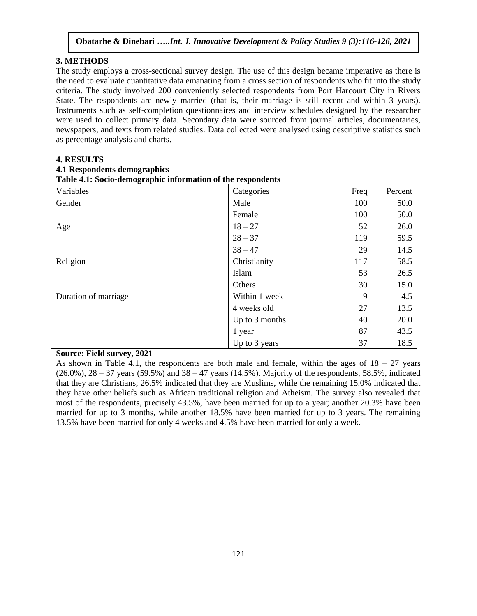# **3. METHODS**

The study employs a cross-sectional survey design. The use of this design became imperative as there is the need to evaluate quantitative data emanating from a cross section of respondents who fit into the study criteria. The study involved 200 conveniently selected respondents from Port Harcourt City in Rivers State. The respondents are newly married (that is, their marriage is still recent and within 3 years). Instruments such as self-completion questionnaires and interview schedules designed by the researcher were used to collect primary data. Secondary data were sourced from journal articles, documentaries, newspapers, and texts from related studies. Data collected were analysed using descriptive statistics such as percentage analysis and charts.

#### **4. RESULTS**

#### **4.1 Respondents demographics**

| Variables            | Categories     | Freq | Percent |
|----------------------|----------------|------|---------|
| Gender               | Male           | 100  | 50.0    |
|                      | Female         | 100  | 50.0    |
| Age                  | $18 - 27$      | 52   | 26.0    |
|                      | $28 - 37$      | 119  | 59.5    |
|                      | $38 - 47$      | 29   | 14.5    |
| Religion             | Christianity   | 117  | 58.5    |
|                      | Islam          | 53   | 26.5    |
|                      | Others         | 30   | 15.0    |
| Duration of marriage | Within 1 week  | 9    | 4.5     |
|                      | 4 weeks old    | 27   | 13.5    |
|                      | Up to 3 months | 40   | 20.0    |
|                      | 1 year         | 87   | 43.5    |
|                      | Up to 3 years  | 37   | 18.5    |

# **Table 4.1: Socio-demographic information of the respondents**

## **Source: Field survey, 2021**

As shown in Table 4.1, the respondents are both male and female, within the ages of  $18 - 27$  years  $(26.0\%)$ ,  $28 - 37$  years  $(59.5\%)$  and  $38 - 47$  years  $(14.5\%)$ . Majority of the respondents, 58.5%, indicated that they are Christians; 26.5% indicated that they are Muslims, while the remaining 15.0% indicated that they have other beliefs such as African traditional religion and Atheism. The survey also revealed that most of the respondents, precisely 43.5%, have been married for up to a year; another 20.3% have been married for up to 3 months, while another 18.5% have been married for up to 3 years. The remaining 13.5% have been married for only 4 weeks and 4.5% have been married for only a week.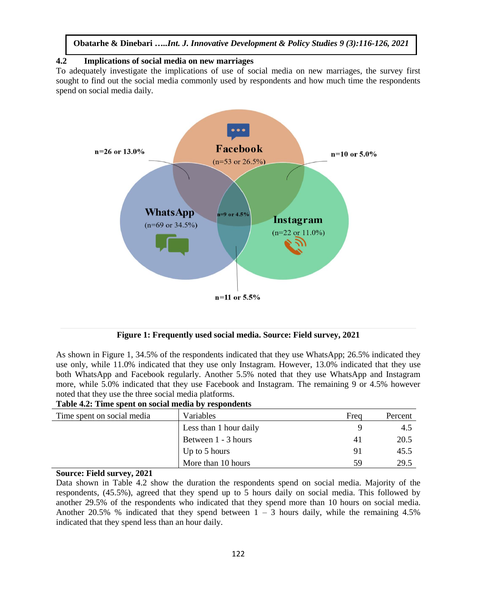# **4.2 Implications of social media on new marriages**

To adequately investigate the implications of use of social media on new marriages, the survey first sought to find out the social media commonly used by respondents and how much time the respondents spend on social media daily.



**Figure 1: Frequently used social media. Source: Field survey, 2021**

As shown in Figure 1, 34.5% of the respondents indicated that they use WhatsApp; 26.5% indicated they use only, while 11.0% indicated that they use only Instagram. However, 13.0% indicated that they use both WhatsApp and Facebook regularly. Another 5.5% noted that they use WhatsApp and Instagram more, while 5.0% indicated that they use Facebook and Instagram. The remaining 9 or 4.5% however noted that they use the three social media platforms.

### **Table 4.2: Time spent on social media by respondents**

| Time spent on social media | Variables              | Frea | Percent |
|----------------------------|------------------------|------|---------|
|                            | Less than 1 hour daily |      | 4.5     |
|                            | Between 1 - 3 hours    | 41   | 20.5    |
|                            | Up to 5 hours          | 91   | 45.5    |
|                            | More than 10 hours     | 59   | 29.5    |

#### **Source: Field survey, 2021**

Data shown in Table 4.2 show the duration the respondents spend on social media. Majority of the respondents, (45.5%), agreed that they spend up to 5 hours daily on social media. This followed by another 29.5% of the respondents who indicated that they spend more than 10 hours on social media. Another 20.5% % indicated that they spend between  $1 - 3$  hours daily, while the remaining 4.5% indicated that they spend less than an hour daily.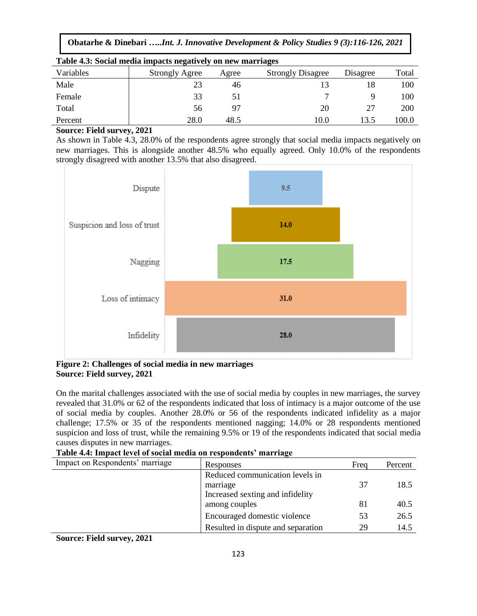| Table 4.3: Social media impacts negatively on new marriages |                       |       |                          |          |       |  |
|-------------------------------------------------------------|-----------------------|-------|--------------------------|----------|-------|--|
| Variables                                                   | <b>Strongly Agree</b> | Agree | <b>Strongly Disagree</b> | Disagree | Total |  |
| Male                                                        | 23                    | 46    |                          | 18       | 100   |  |
| Female                                                      | 33                    | 51    |                          |          | 100   |  |
| Total                                                       | 56                    | 97    | 20                       | 27       | 200   |  |
| Percent                                                     | 28.0                  | 48.5  | 10.0                     | 13.5     | 100.0 |  |

# **Source: Field survey, 2021**

As shown in Table 4.3, 28.0% of the respondents agree strongly that social media impacts negatively on new marriages. This is alongside another 48.5% who equally agreed. Only 10.0% of the respondents strongly disagreed with another 13.5% that also disagreed.



# **Figure 2: Challenges of social media in new marriages Source: Field survey, 2021**

On the marital challenges associated with the use of social media by couples in new marriages, the survey revealed that 31.0% or 62 of the respondents indicated that loss of intimacy is a major outcome of the use of social media by couples. Another 28.0% or 56 of the respondents indicated infidelity as a major challenge; 17.5% or 35 of the respondents mentioned nagging; 14.0% or 28 respondents mentioned suspicion and loss of trust, while the remaining 9.5% or 19 of the respondents indicated that social media causes disputes in new marriages.

**Table 4.4: Impact level of social media on respondents' marriage**

| Impact on Respondents' marriage | Responses                          | Freq | Percent |  |  |
|---------------------------------|------------------------------------|------|---------|--|--|
|                                 | Reduced communication levels in    |      |         |  |  |
|                                 | marriage                           | 37   | 18.5    |  |  |
|                                 | Increased sexting and infidelity   |      |         |  |  |
|                                 | among couples                      | 81   | 40.5    |  |  |
|                                 | Encouraged domestic violence       | 53   | 26.5    |  |  |
|                                 | Resulted in dispute and separation | 29   | 14.5    |  |  |
|                                 |                                    |      |         |  |  |

**Source: Field survey, 2021**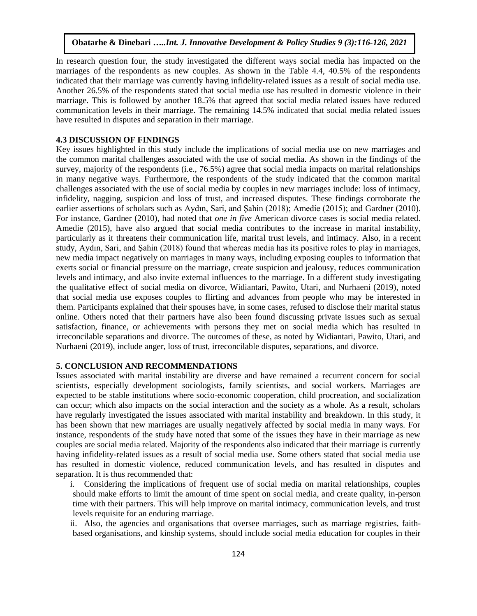In research question four, the study investigated the different ways social media has impacted on the marriages of the respondents as new couples. As shown in the Table 4.4, 40.5% of the respondents indicated that their marriage was currently having infidelity-related issues as a result of social media use. Another 26.5% of the respondents stated that social media use has resulted in domestic violence in their marriage. This is followed by another 18.5% that agreed that social media related issues have reduced communication levels in their marriage. The remaining 14.5% indicated that social media related issues have resulted in disputes and separation in their marriage.

#### **4.3 DISCUSSION OF FINDINGS**

Key issues highlighted in this study include the implications of social media use on new marriages and the common marital challenges associated with the use of social media. As shown in the findings of the survey, majority of the respondents (i.e., 76.5%) agree that social media impacts on marital relationships in many negative ways. Furthermore, the respondents of the study indicated that the common marital challenges associated with the use of social media by couples in new marriages include: loss of intimacy, infidelity, nagging, suspicion and loss of trust, and increased disputes. These findings corroborate the earlier assertions of scholars such as Aydın, Sari, and Şahin (2018); Amedie (2015); and Gardner (2010). For instance, Gardner (2010), had noted that *one in five* American divorce cases is social media related. Amedie (2015), have also argued that social media contributes to the increase in marital instability, particularly as it threatens their communication life, marital trust levels, and intimacy. Also, in a recent study, Aydın, Sari, and Şahin (2018) found that whereas media has its positive roles to play in marriages, new media impact negatively on marriages in many ways, including exposing couples to information that exerts social or financial pressure on the marriage, create suspicion and jealousy, reduces communication levels and intimacy, and also invite external influences to the marriage. In a different study investigating the qualitative effect of social media on divorce, Widiantari, Pawito, Utari, and Nurhaeni (2019), noted that social media use exposes couples to flirting and advances from people who may be interested in them. Participants explained that their spouses have, in some cases, refused to disclose their marital status online. Others noted that their partners have also been found discussing private issues such as sexual satisfaction, finance, or achievements with persons they met on social media which has resulted in irreconcilable separations and divorce. The outcomes of these, as noted by Widiantari, Pawito, Utari, and Nurhaeni (2019), include anger, loss of trust, irreconcilable disputes, separations, and divorce.

# **5. CONCLUSION AND RECOMMENDATIONS**

Issues associated with marital instability are diverse and have remained a recurrent concern for social scientists, especially development sociologists, family scientists, and social workers. Marriages are expected to be stable institutions where socio-economic cooperation, child procreation, and socialization can occur; which also impacts on the social interaction and the society as a whole. As a result, scholars have regularly investigated the issues associated with marital instability and breakdown. In this study, it has been shown that new marriages are usually negatively affected by social media in many ways. For instance, respondents of the study have noted that some of the issues they have in their marriage as new couples are social media related. Majority of the respondents also indicated that their marriage is currently having infidelity-related issues as a result of social media use. Some others stated that social media use has resulted in domestic violence, reduced communication levels, and has resulted in disputes and separation. It is thus recommended that:

i. Considering the implications of frequent use of social media on marital relationships, couples should make efforts to limit the amount of time spent on social media, and create quality, in-person time with their partners. This will help improve on marital intimacy, communication levels, and trust levels requisite for an enduring marriage.

ii. Also, the agencies and organisations that oversee marriages, such as marriage registries, faithbased organisations, and kinship systems, should include social media education for couples in their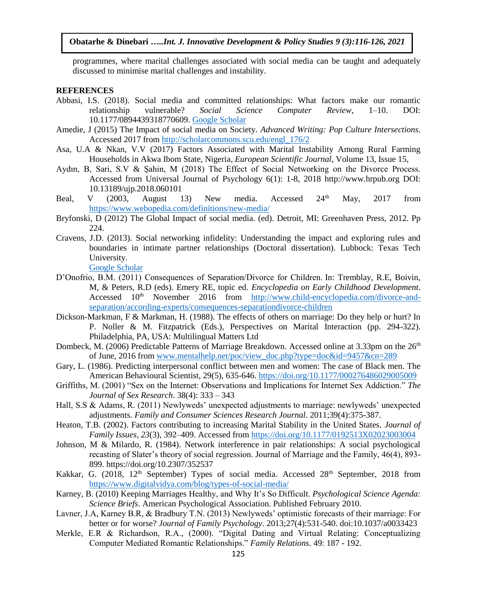programmes, where marital challenges associated with social media can be taught and adequately discussed to minimise marital challenges and instability.

#### **REFERENCES**

- Abbasi, I.S. (2018). Social media and committed relationships: What factors make our romantic relationship vulnerable? *Social Science Computer Review*, 1–10. DOI: 10.1177/0894439318770609. [Google Scholar](http://scholar.google.com/scholar_lookup?hl=en&publication_year=2018&pages=1-10&author=I.+S.+Abbasi&title=Social+media+and+committed+relationships%3A+What+factors+make+our+romantic+relationship+vulnerable%3F)
- Amedie, J (2015) The Impact of social media on Society. *Advanced Writing: Pop Culture Intersections*. Accessed 2017 fro[m http://scholarcommons.scu.edu/engl\\_176/2](http://scholarcommons.scu.edu/engl_176/2)
- Asa, U.A & Nkan, V.V (2017) Factors Associated with Marital Instability Among Rural Farming Households in Akwa Ibom State, Nigeria, *European Scientific Journal*, Volume 13, Issue 15,
- Aydın, B, Sari, S.V & Şahin, M (2018) The Effect of Social Networking on the Divorce Process. Accessed from Universal Journal of Psychology 6(1): 1-8, 2018 http://www.hrpub.org DOI: 10.13189/ujp.2018.060101
- Beal, V (2003, August 13) New media. Accessed 24<sup>th</sup> May, 2017 from <https://www.webopedia.com/definitions/new-media/>
- Bryfonski, D (2012) The Global Impact of social media. (ed). Detroit, MI: Greenhaven Press, 2012. Pp 224.
- Cravens, J.D. (2013). Social networking infidelity: Understanding the impact and exploring rules and boundaries in intimate partner relationships (Doctoral dissertation). Lubbock: Texas Tech University.

Google [Scholar](http://scholar.google.com/scholar_lookup?hl=en&publication_year=2013&author=J.+D.+Cravens&title=Social+networking+infidelity%3A+Understanding+the+impact+and+exploring+rules+and+boundaries+in+intimate+partner+relationships)

- D'Onofrio, B.M. (2011) Consequences of Separation/Divorce for Children. In: Tremblay, R.E, Boivin, M, & Peters, R.D (eds). Emery RE, topic ed. *Encyclopedia on Early Childhood Development*. Accessed 10<sup>th</sup> November 2016 from [http://www.child-encyclopedia.com/divorce-and](http://www.child-encyclopedia.com/divorce-and-separation/according-experts/consequences-separationdivorce-children)[separation/according-experts/consequences-separationdivorce-children](http://www.child-encyclopedia.com/divorce-and-separation/according-experts/consequences-separationdivorce-children)
- Dickson-Markman, F & Markman, H. (1988). The effects of others on marriage: Do they help or hurt? In P. Noller & M. Fitzpatrick (Eds.), Perspectives on Marital Interaction (pp. 294-322). Philadelphia, PA, USA: Multilingual Matters Ltd
- Dombeck, M. (2006) Predictable Patterns of Marriage Breakdown. Accessed online at 3.33pm on the 26<sup>th</sup> of June, 2016 from [www.mentalhelp.net/poc/view\\_doc.php?type=doc&id=9457&cn=289](http://www.mentalhelp.net/poc/view_doc.php?type=doc&id=9457&cn=289)
- Gary, L. (1986). Predicting interpersonal conflict between men and women: The case of Black men. The American Behavioural Scientist, 29(5), 635-646.<https://doi.org/10.1177/000276486029005009>
- Griffiths, M. (2001) "Sex on the Internet: Observations and Implications for Internet Sex Addiction." *The Journal of Sex Research*. 38(4): 333 – 343
- Hall, S.S & Adams, R. (2011) Newlyweds' unexpected adjustments to marriage: newlyweds' unexpected adjustments. *Family and Consumer Sciences Research Journal*. 2011;39(4):375-387.
- Heaton, T.B. (2002). Factors contributing to increasing Marital Stability in the United States. *Journal of Family Issues*, *23*(3), 392–409. Accessed fro[m https://doi.org/10.1177/0192513X02023003004](https://doi.org/10.1177/0192513X02023003004)
- Johnson, M & Milardo, R. (1984). Network interference in pair relationships: A social psychological recasting of Slater's theory of social regression. Journal of Marriage and the Family, 46(4), 893- 899. https://doi.org/10.2307/352537
- Kakkar, G. (2018, 12<sup>th</sup> September) Types of social media. Accessed 28<sup>th</sup> September, 2018 from <https://www.digitalvidya.com/blog/types-of-social-media/>
- Karney, B. (2010) Keeping Marriages Healthy, and Why It's So Difficult. *Psychological Science Agenda: Science Briefs*. American Psychological Association. Published February 2010.
- Lavner, J.A, Karney B.R, & Bradbury T.N. (2013) Newlyweds' optimistic forecasts of their marriage: For better or for worse? *Journal of Family Psychology*. 2013;27(4):531-540. doi:10.1037/a0033423
- Merkle, E.R & Richardson, R.A., (2000). "Digital Dating and Virtual Relating: Conceptualizing Computer Mediated Romantic Relationships." *Family Relations*. 49: 187 - 192.